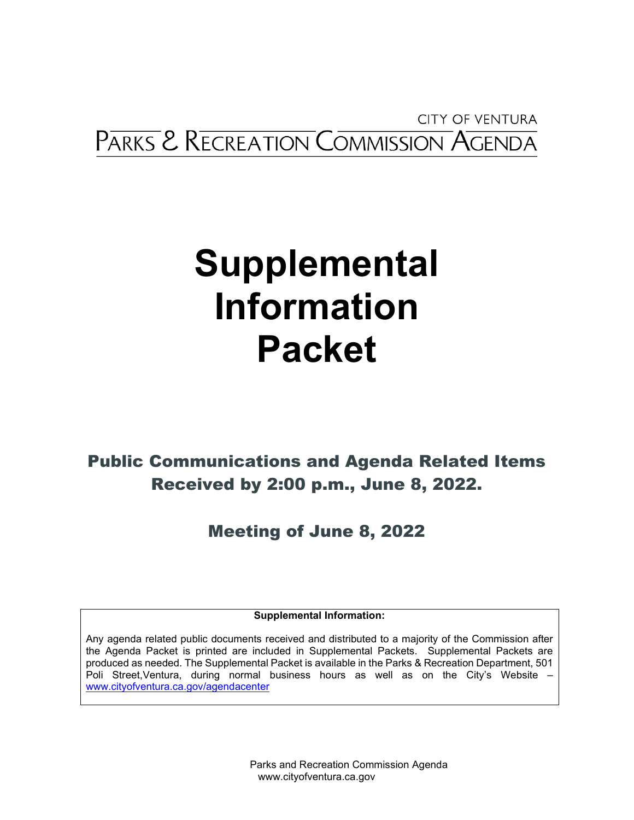**CITY OF VENTURA** PARKS & RECREATION COMMISSION AGENDA

# **Supplemental Information Packet**

Public Communications and Agenda Related Items Received by 2:00 p.m., June 8, 2022.

Meeting of June 8, 2022

**Supplemental Information:** 

Any agenda related public documents received and distributed to a majority of the Commission after the Agenda Packet is printed are included in Supplemental Packets. Supplemental Packets are produced as needed. The Supplemental Packet is available in the Parks & Recreation Department, 501 Poli Street,Ventura, during normal business hours as well as on the City's Website – [www.cityofventura.ca.gov/](http://www.cityofventura.ca.gov/)agendacenter

> Parks and Recreation Commission Agenda www.cityofventura.ca.gov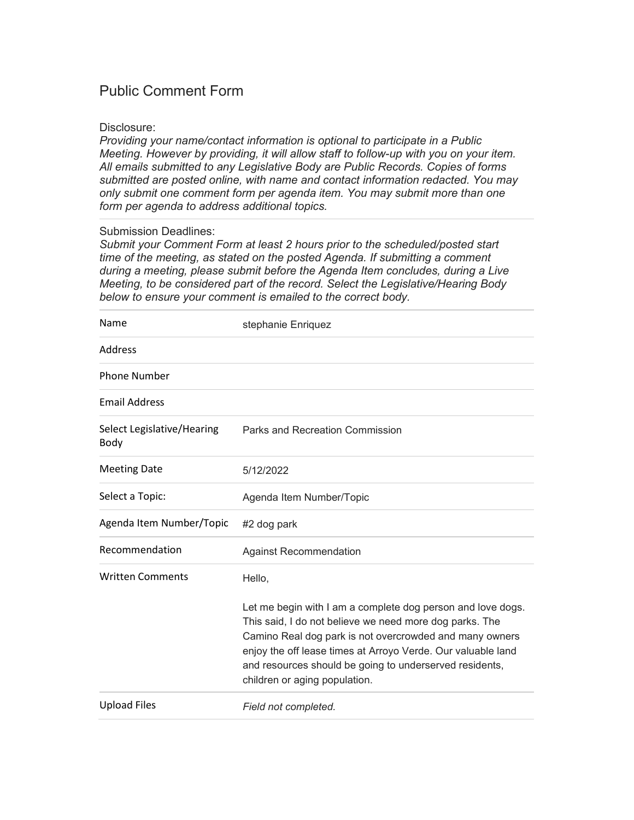## Disclosure:

*Providing your name/contact information is optional to participate in a Public Meeting. However by providing, it will allow staff to follow-up with you on your item. All emails submitted to any Legislative Body are Public Records. Copies of forms submitted are posted online, with name and contact information redacted. You may only submit one comment form per agenda item. You may submit more than one form per agenda to address additional topics.*

# Submission Deadlines:

| Name                               | stephanie Enriquez                                                                                                                                                                                                                                                                                                                            |
|------------------------------------|-----------------------------------------------------------------------------------------------------------------------------------------------------------------------------------------------------------------------------------------------------------------------------------------------------------------------------------------------|
| Address                            |                                                                                                                                                                                                                                                                                                                                               |
| <b>Phone Number</b>                |                                                                                                                                                                                                                                                                                                                                               |
| <b>Email Address</b>               |                                                                                                                                                                                                                                                                                                                                               |
| Select Legislative/Hearing<br>Body | <b>Parks and Recreation Commission</b>                                                                                                                                                                                                                                                                                                        |
| <b>Meeting Date</b>                | 5/12/2022                                                                                                                                                                                                                                                                                                                                     |
| Select a Topic:                    | Agenda Item Number/Topic                                                                                                                                                                                                                                                                                                                      |
| Agenda Item Number/Topic           | #2 dog park                                                                                                                                                                                                                                                                                                                                   |
| Recommendation                     | <b>Against Recommendation</b>                                                                                                                                                                                                                                                                                                                 |
| <b>Written Comments</b>            | Hello,                                                                                                                                                                                                                                                                                                                                        |
|                                    | Let me begin with I am a complete dog person and love dogs.<br>This said, I do not believe we need more dog parks. The<br>Camino Real dog park is not overcrowded and many owners<br>enjoy the off lease times at Arroyo Verde. Our valuable land<br>and resources should be going to underserved residents,<br>children or aging population. |
| <b>Upload Files</b>                | Field not completed.                                                                                                                                                                                                                                                                                                                          |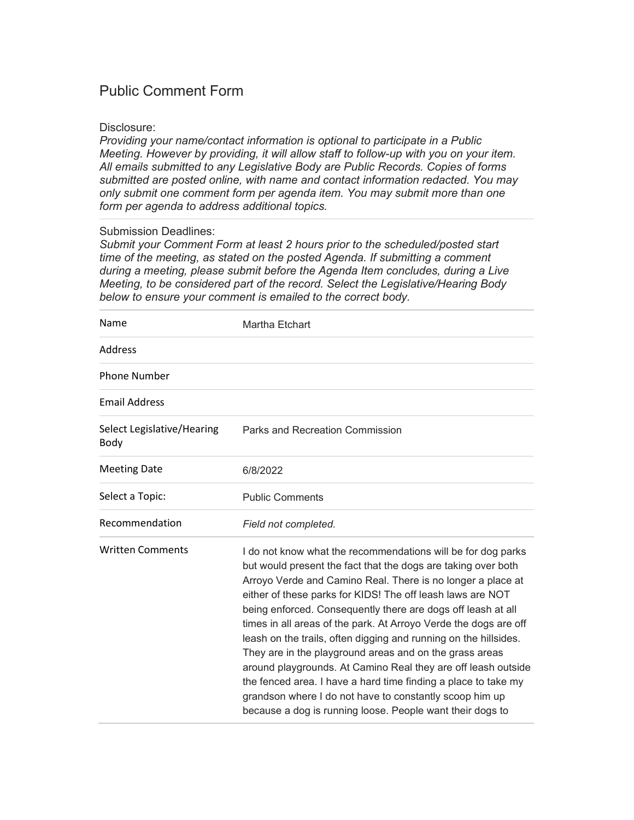## Disclosure:

*Providing your name/contact information is optional to participate in a Public Meeting. However by providing, it will allow staff to follow-up with you on your item. All emails submitted to any Legislative Body are Public Records. Copies of forms submitted are posted online, with name and contact information redacted. You may only submit one comment form per agenda item. You may submit more than one form per agenda to address additional topics.*

# Submission Deadlines:

| Name                               | Martha Etchart                                                                                                                                                                                                                                                                                                                                                                                                                                                                                                                                                                                                                                                                                                                                                                           |
|------------------------------------|------------------------------------------------------------------------------------------------------------------------------------------------------------------------------------------------------------------------------------------------------------------------------------------------------------------------------------------------------------------------------------------------------------------------------------------------------------------------------------------------------------------------------------------------------------------------------------------------------------------------------------------------------------------------------------------------------------------------------------------------------------------------------------------|
| Address                            |                                                                                                                                                                                                                                                                                                                                                                                                                                                                                                                                                                                                                                                                                                                                                                                          |
| <b>Phone Number</b>                |                                                                                                                                                                                                                                                                                                                                                                                                                                                                                                                                                                                                                                                                                                                                                                                          |
| <b>Email Address</b>               |                                                                                                                                                                                                                                                                                                                                                                                                                                                                                                                                                                                                                                                                                                                                                                                          |
| Select Legislative/Hearing<br>Body | Parks and Recreation Commission                                                                                                                                                                                                                                                                                                                                                                                                                                                                                                                                                                                                                                                                                                                                                          |
| <b>Meeting Date</b>                | 6/8/2022                                                                                                                                                                                                                                                                                                                                                                                                                                                                                                                                                                                                                                                                                                                                                                                 |
| Select a Topic:                    | <b>Public Comments</b>                                                                                                                                                                                                                                                                                                                                                                                                                                                                                                                                                                                                                                                                                                                                                                   |
| Recommendation                     | Field not completed.                                                                                                                                                                                                                                                                                                                                                                                                                                                                                                                                                                                                                                                                                                                                                                     |
| <b>Written Comments</b>            | I do not know what the recommendations will be for dog parks<br>but would present the fact that the dogs are taking over both<br>Arroyo Verde and Camino Real. There is no longer a place at<br>either of these parks for KIDS! The off leash laws are NOT<br>being enforced. Consequently there are dogs off leash at all<br>times in all areas of the park. At Arroyo Verde the dogs are off<br>leash on the trails, often digging and running on the hillsides.<br>They are in the playground areas and on the grass areas<br>around playgrounds. At Camino Real they are off leash outside<br>the fenced area. I have a hard time finding a place to take my<br>grandson where I do not have to constantly scoop him up<br>because a dog is running loose. People want their dogs to |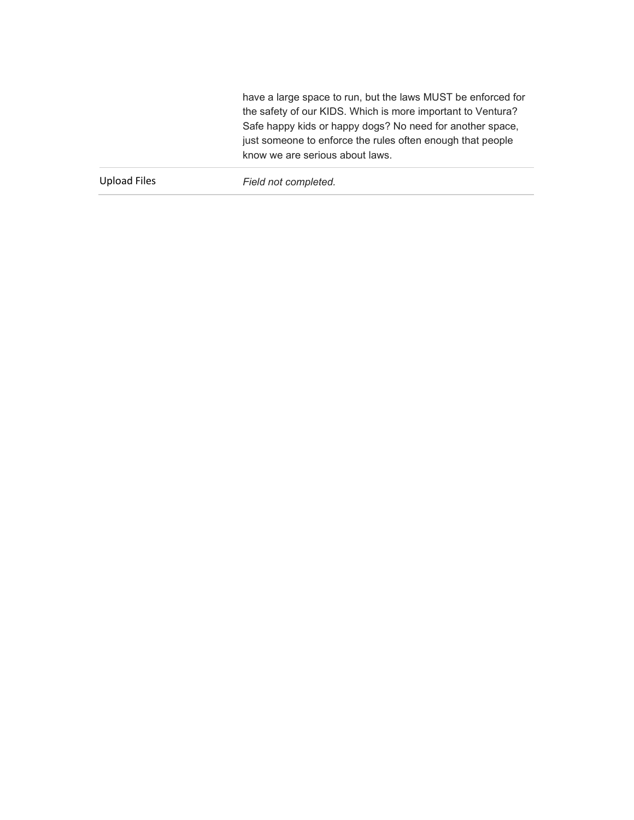have a large space to run, but the laws MUST be enforced for the safety of our KIDS. Which is more important to Ventura? Safe happy kids or happy dogs? No need for another space, just someone to enforce the rules often enough that people know we are serious about laws.

Upload Files *Field not completed.*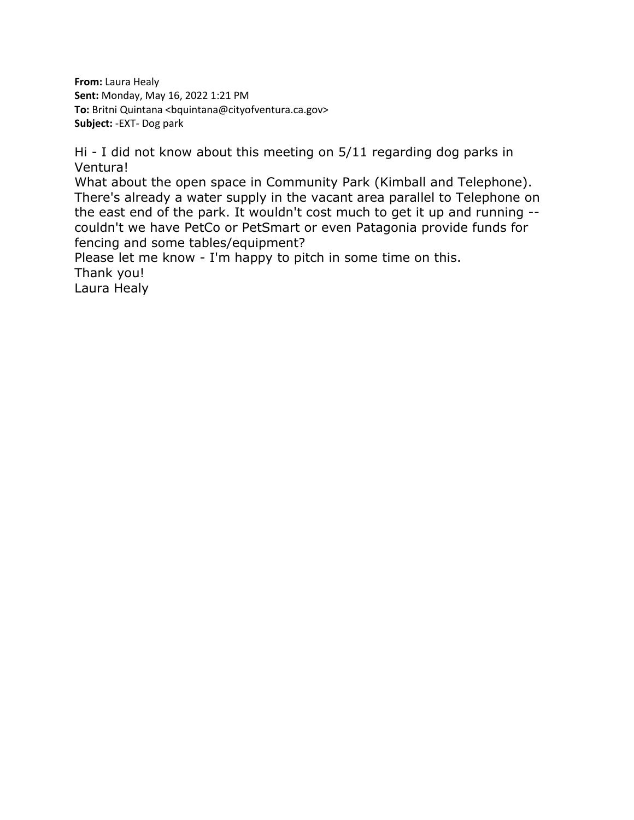**From:** Laura Healy **Sent:** Monday, May 16, 2022 1:21 PM **To:** Britni Quintana <bauntana@cityofventura.ca.gov> **Subject:** -EXT- Dog park

Hi - I did not know about this meeting on 5/11 regarding dog parks in Ventura!

What about the open space in Community Park (Kimball and Telephone). There's already a water supply in the vacant area parallel to Telephone on the east end of the park. It wouldn't cost much to get it up and running - couldn't we have PetCo or PetSmart or even Patagonia provide funds for fencing and some tables/equipment?

Please let me know - I'm happy to pitch in some time on this. Thank you!

Laura Healy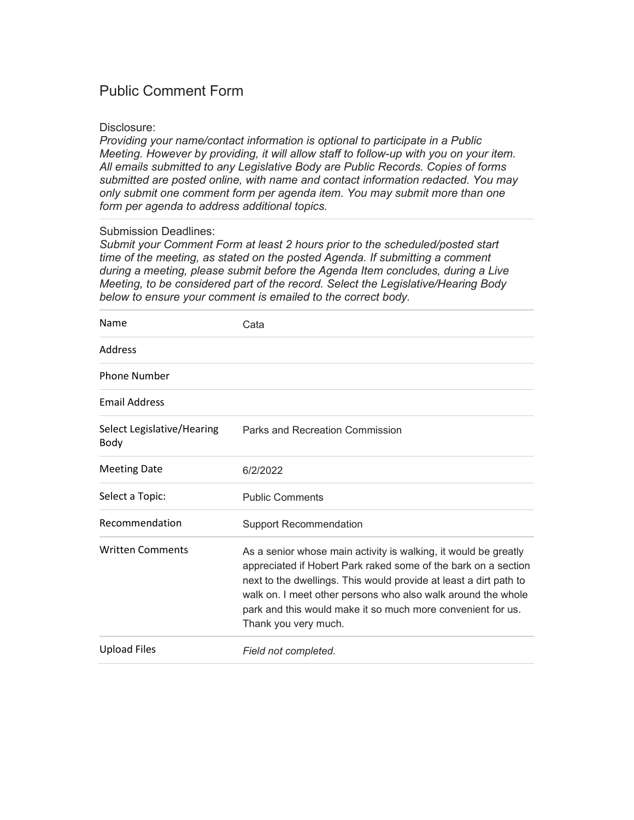## Disclosure:

*Providing your name/contact information is optional to participate in a Public Meeting. However by providing, it will allow staff to follow-up with you on your item. All emails submitted to any Legislative Body are Public Records. Copies of forms submitted are posted online, with name and contact information redacted. You may only submit one comment form per agenda item. You may submit more than one form per agenda to address additional topics.*

# Submission Deadlines:

| Name                               | Cata                                                                                                                                                                                                                                                                                                                                                          |
|------------------------------------|---------------------------------------------------------------------------------------------------------------------------------------------------------------------------------------------------------------------------------------------------------------------------------------------------------------------------------------------------------------|
| Address                            |                                                                                                                                                                                                                                                                                                                                                               |
| <b>Phone Number</b>                |                                                                                                                                                                                                                                                                                                                                                               |
| <b>Email Address</b>               |                                                                                                                                                                                                                                                                                                                                                               |
| Select Legislative/Hearing<br>Body | Parks and Recreation Commission                                                                                                                                                                                                                                                                                                                               |
| <b>Meeting Date</b>                | 6/2/2022                                                                                                                                                                                                                                                                                                                                                      |
| Select a Topic:                    | <b>Public Comments</b>                                                                                                                                                                                                                                                                                                                                        |
| Recommendation                     | <b>Support Recommendation</b>                                                                                                                                                                                                                                                                                                                                 |
| <b>Written Comments</b>            | As a senior whose main activity is walking, it would be greatly<br>appreciated if Hobert Park raked some of the bark on a section<br>next to the dwellings. This would provide at least a dirt path to<br>walk on. I meet other persons who also walk around the whole<br>park and this would make it so much more convenient for us.<br>Thank you very much. |
| <b>Upload Files</b>                | Field not completed.                                                                                                                                                                                                                                                                                                                                          |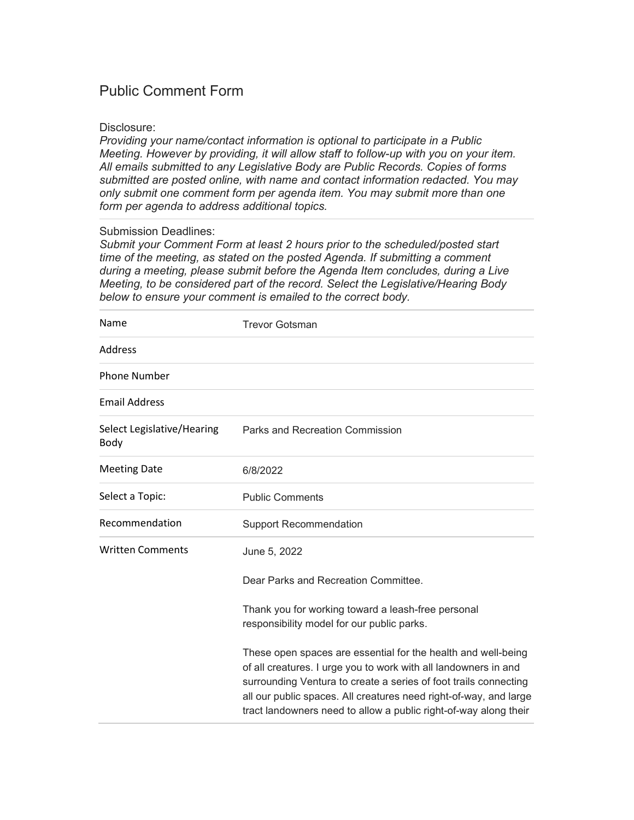## Disclosure:

*Providing your name/contact information is optional to participate in a Public Meeting. However by providing, it will allow staff to follow-up with you on your item. All emails submitted to any Legislative Body are Public Records. Copies of forms submitted are posted online, with name and contact information redacted. You may only submit one comment form per agenda item. You may submit more than one form per agenda to address additional topics.*

## Submission Deadlines:

| Name                               | <b>Trevor Gotsman</b>                                                                                                                                                                                                                                                                                                                         |
|------------------------------------|-----------------------------------------------------------------------------------------------------------------------------------------------------------------------------------------------------------------------------------------------------------------------------------------------------------------------------------------------|
| Address                            |                                                                                                                                                                                                                                                                                                                                               |
| <b>Phone Number</b>                |                                                                                                                                                                                                                                                                                                                                               |
| <b>Email Address</b>               |                                                                                                                                                                                                                                                                                                                                               |
| Select Legislative/Hearing<br>Body | Parks and Recreation Commission                                                                                                                                                                                                                                                                                                               |
| <b>Meeting Date</b>                | 6/8/2022                                                                                                                                                                                                                                                                                                                                      |
| Select a Topic:                    | <b>Public Comments</b>                                                                                                                                                                                                                                                                                                                        |
| Recommendation                     | <b>Support Recommendation</b>                                                                                                                                                                                                                                                                                                                 |
| <b>Written Comments</b>            | June 5, 2022                                                                                                                                                                                                                                                                                                                                  |
|                                    | Dear Parks and Recreation Committee.                                                                                                                                                                                                                                                                                                          |
|                                    | Thank you for working toward a leash-free personal<br>responsibility model for our public parks.                                                                                                                                                                                                                                              |
|                                    | These open spaces are essential for the health and well-being<br>of all creatures. I urge you to work with all landowners in and<br>surrounding Ventura to create a series of foot trails connecting<br>all our public spaces. All creatures need right-of-way, and large<br>tract landowners need to allow a public right-of-way along their |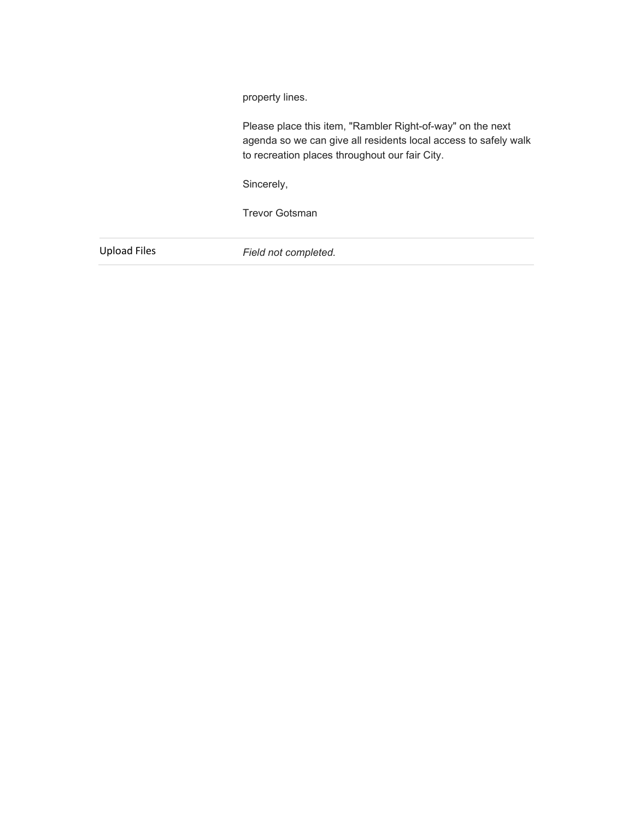property lines.

Please place this item, "Rambler Right-of-way" on the next agenda so we can give all residents local access to safely walk to recreation places throughout our fair City.

Sincerely,

Trevor Gotsman

Upload Files *Field not completed.*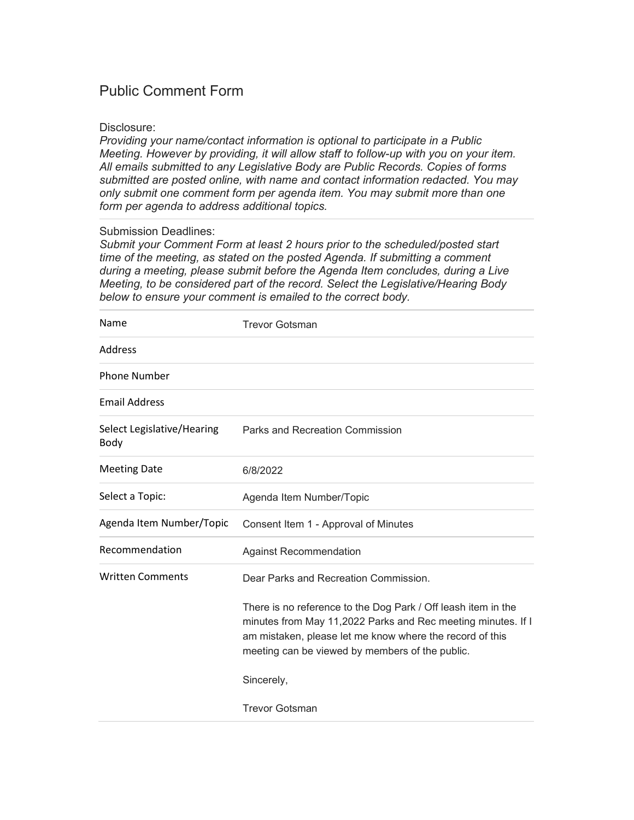## Disclosure:

*Providing your name/contact information is optional to participate in a Public Meeting. However by providing, it will allow staff to follow-up with you on your item. All emails submitted to any Legislative Body are Public Records. Copies of forms submitted are posted online, with name and contact information redacted. You may only submit one comment form per agenda item. You may submit more than one form per agenda to address additional topics.*

# Submission Deadlines:

| Name                               | <b>Trevor Gotsman</b>                                                                                                                                                                                                                        |
|------------------------------------|----------------------------------------------------------------------------------------------------------------------------------------------------------------------------------------------------------------------------------------------|
| Address                            |                                                                                                                                                                                                                                              |
| <b>Phone Number</b>                |                                                                                                                                                                                                                                              |
| <b>Email Address</b>               |                                                                                                                                                                                                                                              |
| Select Legislative/Hearing<br>Body | Parks and Recreation Commission                                                                                                                                                                                                              |
| <b>Meeting Date</b>                | 6/8/2022                                                                                                                                                                                                                                     |
| Select a Topic:                    | Agenda Item Number/Topic                                                                                                                                                                                                                     |
| Agenda Item Number/Topic           | Consent Item 1 - Approval of Minutes                                                                                                                                                                                                         |
| Recommendation                     | <b>Against Recommendation</b>                                                                                                                                                                                                                |
| <b>Written Comments</b>            | Dear Parks and Recreation Commission.                                                                                                                                                                                                        |
|                                    | There is no reference to the Dog Park / Off leash item in the<br>minutes from May 11,2022 Parks and Rec meeting minutes. If I<br>am mistaken, please let me know where the record of this<br>meeting can be viewed by members of the public. |
|                                    | Sincerely,                                                                                                                                                                                                                                   |
|                                    | <b>Trevor Gotsman</b>                                                                                                                                                                                                                        |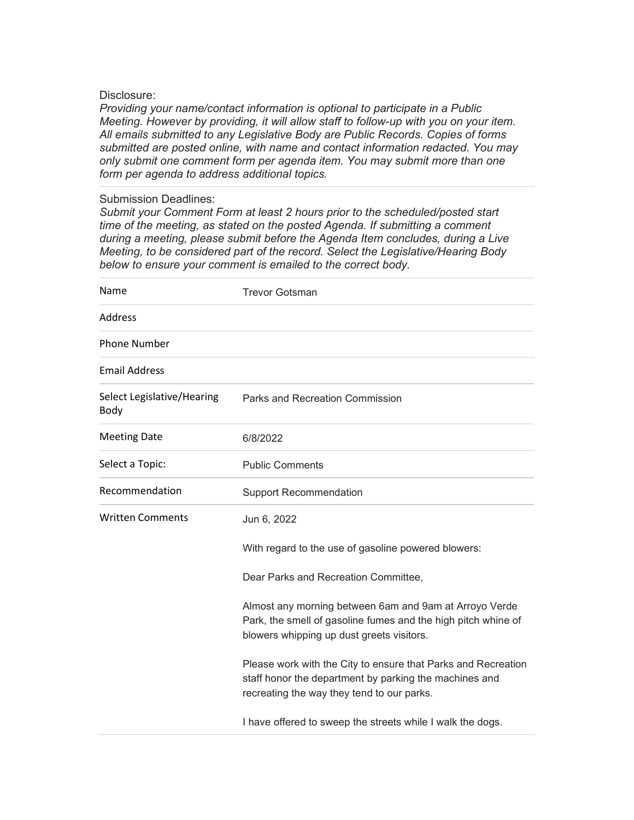#### Disclosure:

*Providing your name/contact information is optional to participate in a Public Meeting. However by providing, it will allow staff to follow-up with you on your item. All emails submitted to any Legislative Body are Public Records. Copies of forms submitted are posted online, with name and contact information redacted. You may only submit one comment form per agenda item. You may submit more than one form per agenda to address additional topics.*

## Submission Deadlines:

| Name                               | <b>Trevor Gotsman</b>                                                                                                                                                 |
|------------------------------------|-----------------------------------------------------------------------------------------------------------------------------------------------------------------------|
| Address                            |                                                                                                                                                                       |
| <b>Phone Number</b>                |                                                                                                                                                                       |
| <b>Email Address</b>               |                                                                                                                                                                       |
| Select Legislative/Hearing<br>Body | Parks and Recreation Commission                                                                                                                                       |
| <b>Meeting Date</b>                | 6/8/2022                                                                                                                                                              |
| Select a Topic:                    | <b>Public Comments</b>                                                                                                                                                |
| Recommendation                     | <b>Support Recommendation</b>                                                                                                                                         |
| <b>Written Comments</b>            | Jun 6, 2022                                                                                                                                                           |
|                                    | With regard to the use of gasoline powered blowers:                                                                                                                   |
|                                    | Dear Parks and Recreation Committee,                                                                                                                                  |
|                                    | Almost any morning between 6am and 9am at Arroyo Verde<br>Park, the smell of gasoline fumes and the high pitch whine of<br>blowers whipping up dust greets visitors.  |
|                                    | Please work with the City to ensure that Parks and Recreation<br>staff honor the department by parking the machines and<br>recreating the way they tend to our parks. |
|                                    | I have offered to sweep the streets while I walk the dogs.                                                                                                            |